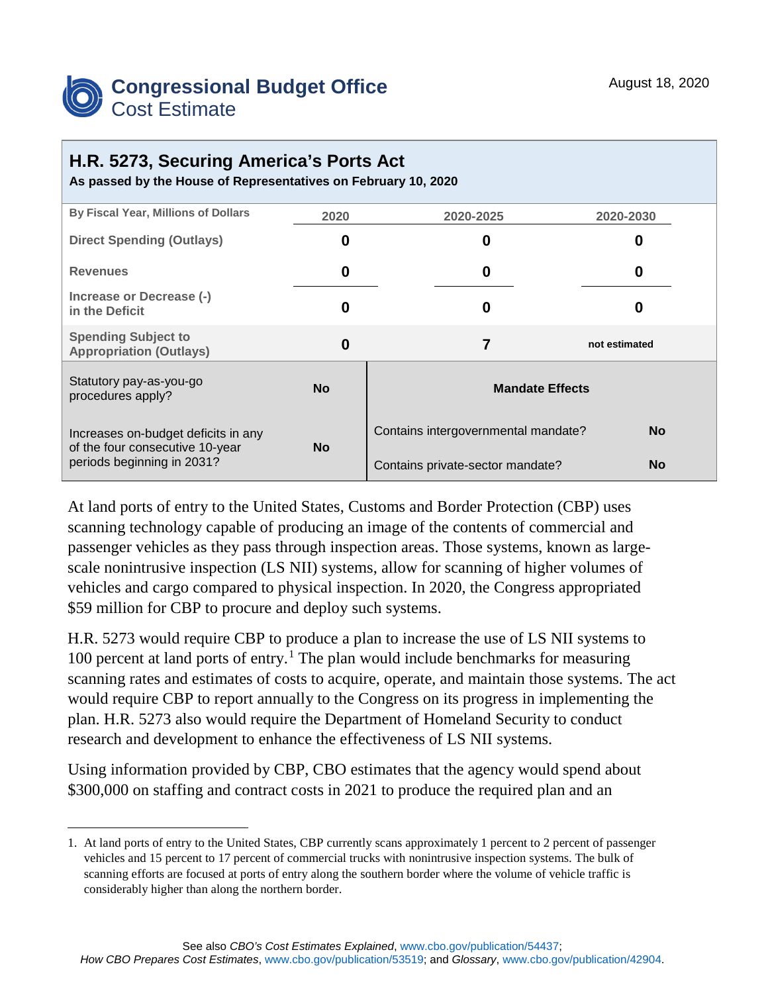

## **H.R. 5273, Securing America's Ports Act**

**As passed by the House of Representatives on February 10, 2020**

| By Fiscal Year, Millions of Dollars                                                                  | 2020      | 2020-2025                                        | 2020-2030     |
|------------------------------------------------------------------------------------------------------|-----------|--------------------------------------------------|---------------|
| <b>Direct Spending (Outlays)</b>                                                                     | 0         | 0                                                | O             |
| <b>Revenues</b>                                                                                      | 0         | 0                                                | O             |
| Increase or Decrease (-)<br>in the Deficit                                                           | 0         | 0                                                | O             |
| <b>Spending Subject to</b><br><b>Appropriation (Outlays)</b>                                         | 0         | 7                                                | not estimated |
| Statutory pay-as-you-go<br>procedures apply?                                                         | <b>No</b> | <b>Mandate Effects</b>                           |               |
| Increases on-budget deficits in any<br>of the four consecutive 10-year<br>periods beginning in 2031? | <b>No</b> | <b>No</b><br>Contains intergovernmental mandate? |               |
|                                                                                                      |           | Contains private-sector mandate?                 | <b>No</b>     |

At land ports of entry to the United States, Customs and Border Protection (CBP) uses scanning technology capable of producing an image of the contents of commercial and passenger vehicles as they pass through inspection areas. Those systems, known as largescale nonintrusive inspection (LS NII) systems, allow for scanning of higher volumes of vehicles and cargo compared to physical inspection. In 2020, the Congress appropriated \$59 million for CBP to procure and deploy such systems.

H.R. 5273 would require CBP to produce a plan to increase the use of LS NII systems to 100 percent at land ports of entry. [1](#page-0-0) The plan would include benchmarks for measuring scanning rates and estimates of costs to acquire, operate, and maintain those systems. The act would require CBP to report annually to the Congress on its progress in implementing the plan. H.R. 5273 also would require the Department of Homeland Security to conduct research and development to enhance the effectiveness of LS NII systems.

Using information provided by CBP, CBO estimates that the agency would spend about \$300,000 on staffing and contract costs in 2021 to produce the required plan and an

<span id="page-0-0"></span> <sup>1.</sup> At land ports of entry to the United States, CBP currently scans approximately 1 percent to 2 percent of passenger vehicles and 15 percent to 17 percent of commercial trucks with nonintrusive inspection systems. The bulk of scanning efforts are focused at ports of entry along the southern border where the volume of vehicle traffic is considerably higher than along the northern border.